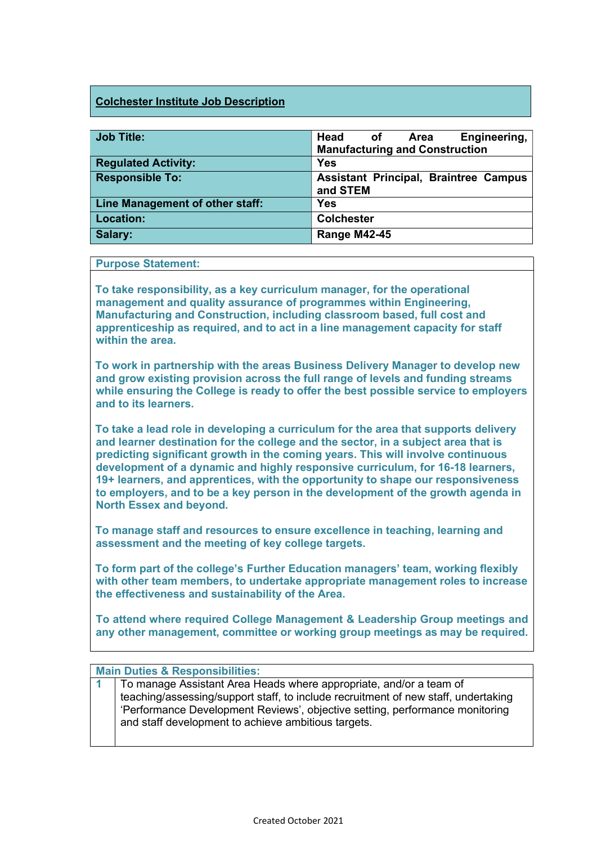## Colchester Institute Job Description

| <b>Job Title:</b>               | Head of<br>Engineering,<br>Area<br><b>Manufacturing and Construction</b> |
|---------------------------------|--------------------------------------------------------------------------|
| <b>Regulated Activity:</b>      | <b>Yes</b>                                                               |
| <b>Responsible To:</b>          | <b>Assistant Principal, Braintree Campus</b><br>and STEM                 |
| Line Management of other staff: | <b>Yes</b>                                                               |
| Location:                       | <b>Colchester</b>                                                        |
| Salary:                         | <b>Range M42-45</b>                                                      |

## Purpose Statement:

To take responsibility, as a key curriculum manager, for the operational management and quality assurance of programmes within Engineering, Manufacturing and Construction, including classroom based, full cost and apprenticeship as required, and to act in a line management capacity for staff within the area.

To work in partnership with the areas Business Delivery Manager to develop new and grow existing provision across the full range of levels and funding streams while ensuring the College is ready to offer the best possible service to employers and to its learners.

To take a lead role in developing a curriculum for the area that supports delivery and learner destination for the college and the sector, in a subject area that is predicting significant growth in the coming years. This will involve continuous development of a dynamic and highly responsive curriculum, for 16-18 learners, 19+ learners, and apprentices, with the opportunity to shape our responsiveness to employers, and to be a key person in the development of the growth agenda in North Essex and beyond.

To manage staff and resources to ensure excellence in teaching, learning and assessment and the meeting of key college targets.

To form part of the college's Further Education managers' team, working flexibly with other team members, to undertake appropriate management roles to increase the effectiveness and sustainability of the Area.

To attend where required College Management & Leadership Group meetings and any other management, committee or working group meetings as may be required.

## Main Duties & Responsibilities:

1 To manage Assistant Area Heads where appropriate, and/or a team of teaching/assessing/support staff, to include recruitment of new staff, undertaking 'Performance Development Reviews', objective setting, performance monitoring and staff development to achieve ambitious targets.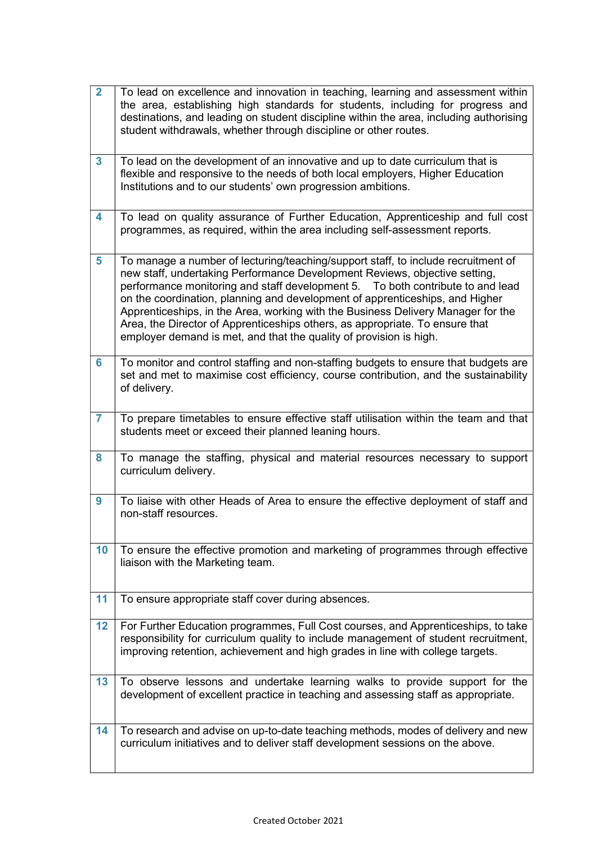| $\overline{2}$ | To lead on excellence and innovation in teaching, learning and assessment within<br>the area, establishing high standards for students, including for progress and<br>destinations, and leading on student discipline within the area, including authorising<br>student withdrawals, whether through discipline or other routes.                                                                                                                                                                                                                                             |
|----------------|------------------------------------------------------------------------------------------------------------------------------------------------------------------------------------------------------------------------------------------------------------------------------------------------------------------------------------------------------------------------------------------------------------------------------------------------------------------------------------------------------------------------------------------------------------------------------|
| $\mathbf{3}$   | To lead on the development of an innovative and up to date curriculum that is<br>flexible and responsive to the needs of both local employers, Higher Education<br>Institutions and to our students' own progression ambitions.                                                                                                                                                                                                                                                                                                                                              |
| 4              | To lead on quality assurance of Further Education, Apprenticeship and full cost<br>programmes, as required, within the area including self-assessment reports.                                                                                                                                                                                                                                                                                                                                                                                                               |
| 5              | To manage a number of lecturing/teaching/support staff, to include recruitment of<br>new staff, undertaking Performance Development Reviews, objective setting,<br>performance monitoring and staff development 5.  To both contribute to and lead<br>on the coordination, planning and development of apprenticeships, and Higher<br>Apprenticeships, in the Area, working with the Business Delivery Manager for the<br>Area, the Director of Apprenticeships others, as appropriate. To ensure that<br>employer demand is met, and that the quality of provision is high. |
| 6              | To monitor and control staffing and non-staffing budgets to ensure that budgets are<br>set and met to maximise cost efficiency, course contribution, and the sustainability<br>of delivery.                                                                                                                                                                                                                                                                                                                                                                                  |
| $\overline{7}$ | To prepare timetables to ensure effective staff utilisation within the team and that<br>students meet or exceed their planned leaning hours.                                                                                                                                                                                                                                                                                                                                                                                                                                 |
| 8              | To manage the staffing, physical and material resources necessary to support<br>curriculum delivery.                                                                                                                                                                                                                                                                                                                                                                                                                                                                         |
| 9              | To liaise with other Heads of Area to ensure the effective deployment of staff and<br>non-staff resources.                                                                                                                                                                                                                                                                                                                                                                                                                                                                   |
| 10             | To ensure the effective promotion and marketing of programmes through effective<br>liaison with the Marketing team.                                                                                                                                                                                                                                                                                                                                                                                                                                                          |
| 11             | To ensure appropriate staff cover during absences.                                                                                                                                                                                                                                                                                                                                                                                                                                                                                                                           |
| 12             | For Further Education programmes, Full Cost courses, and Apprenticeships, to take<br>responsibility for curriculum quality to include management of student recruitment,<br>improving retention, achievement and high grades in line with college targets.                                                                                                                                                                                                                                                                                                                   |
| 13             | To observe lessons and undertake learning walks to provide support for the<br>development of excellent practice in teaching and assessing staff as appropriate.                                                                                                                                                                                                                                                                                                                                                                                                              |
| 14             | To research and advise on up-to-date teaching methods, modes of delivery and new<br>curriculum initiatives and to deliver staff development sessions on the above.                                                                                                                                                                                                                                                                                                                                                                                                           |